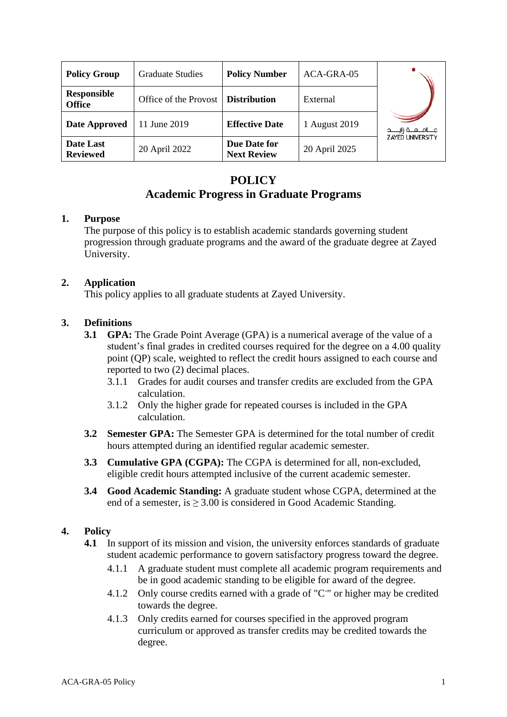| <b>Policy Group</b>                 | <b>Graduate Studies</b> | <b>Policy Number</b>               | ACA-GRA-05    |                         |  |
|-------------------------------------|-------------------------|------------------------------------|---------------|-------------------------|--|
| <b>Responsible</b><br><b>Office</b> | Office of the Provost   | <b>Distribution</b>                | External      |                         |  |
| Date Approved                       | 11 June 2019            | <b>Effective Date</b>              | 1 August 2019 |                         |  |
| Date Last<br><b>Reviewed</b>        | 20 April 2022           | Due Date for<br><b>Next Review</b> | 20 April 2025 | <b>ZAYED UNIVERSITY</b> |  |

# **POLICY Academic Progress in Graduate Programs**

### **1. Purpose**

The purpose of this policy is to establish academic standards governing student progression through graduate programs and the award of the graduate degree at Zayed University.

# **2. Application**

This policy applies to all graduate students at Zayed University.

# **3. Definitions**

- **3.1 GPA:** The Grade Point Average (GPA) is a numerical average of the value of a student's final grades in credited courses required for the degree on a 4.00 quality point (QP) scale, weighted to reflect the credit hours assigned to each course and reported to two (2) decimal places.
	- 3.1.1 Grades for audit courses and transfer credits are excluded from the GPA calculation.
	- 3.1.2 Only the higher grade for repeated courses is included in the GPA calculation.
- **3.2 Semester GPA:** The Semester GPA is determined for the total number of credit hours attempted during an identified regular academic semester.
- **3.3 Cumulative GPA (CGPA):** The CGPA is determined for all, non-excluded, eligible credit hours attempted inclusive of the current academic semester.
- **3.4 Good Academic Standing:** A graduate student whose CGPA, determined at the end of a semester, is  $\geq 3.00$  is considered in Good Academic Standing.

# **4. Policy**

- **4.1** In support of its mission and vision, the university enforces standards of graduate student academic performance to govern satisfactory progress toward the degree.
	- 4.1.1 A graduate student must complete all academic program requirements and be in good academic standing to be eligible for award of the degree.
	- 4.1.2 Only course credits earned with a grade of "C " or higher may be credited towards the degree.
	- 4.1.3 Only credits earned for courses specified in the approved program curriculum or approved as transfer credits may be credited towards the degree.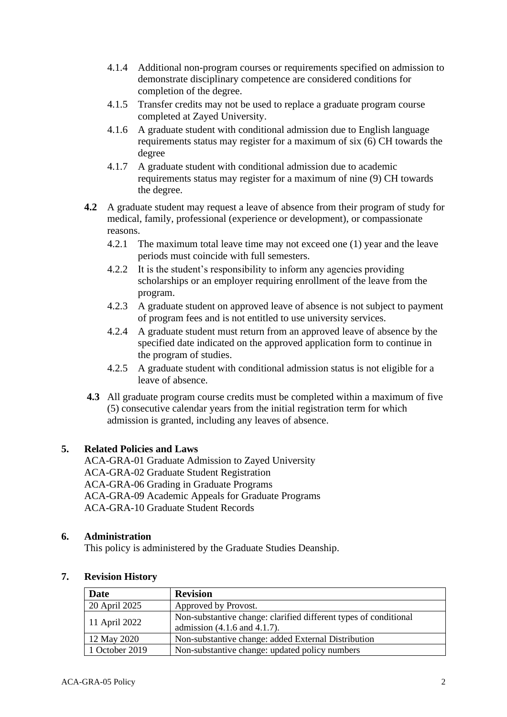- 4.1.4 Additional non-program courses or requirements specified on admission to demonstrate disciplinary competence are considered conditions for completion of the degree.
- 4.1.5 Transfer credits may not be used to replace a graduate program course completed at Zayed University.
- 4.1.6 A graduate student with conditional admission due to English language requirements status may register for a maximum of six (6) CH towards the degree
- 4.1.7 A graduate student with conditional admission due to academic requirements status may register for a maximum of nine (9) CH towards the degree.
- **4.2** A graduate student may request a leave of absence from their program of study for medical, family, professional (experience or development), or compassionate reasons.
	- 4.2.1 The maximum total leave time may not exceed one (1) year and the leave periods must coincide with full semesters.
	- 4.2.2 It is the student's responsibility to inform any agencies providing scholarships or an employer requiring enrollment of the leave from the program.
	- 4.2.3 A graduate student on approved leave of absence is not subject to payment of program fees and is not entitled to use university services.
	- 4.2.4 A graduate student must return from an approved leave of absence by the specified date indicated on the approved application form to continue in the program of studies.
	- 4.2.5 A graduate student with conditional admission status is not eligible for a leave of absence.
- **4.3** All graduate program course credits must be completed within a maximum of five (5) consecutive calendar years from the initial registration term for which admission is granted, including any leaves of absence.

### **5. Related Policies and Laws**

ACA-GRA-01 Graduate Admission to Zayed University ACA-GRA-02 Graduate Student Registration ACA-GRA-06 Grading in Graduate Programs ACA-GRA-09 Academic Appeals for Graduate Programs ACA-GRA-10 Graduate Student Records

### **6. Administration**

This policy is administered by the Graduate Studies Deanship.

|               | Date           | <b>Revision</b>                                                                                       |  |
|---------------|----------------|-------------------------------------------------------------------------------------------------------|--|
|               | 20 April 2025  | Approved by Provost.                                                                                  |  |
| 11 April 2022 |                | Non-substantive change: clarified different types of conditional<br>admission $(4.1.6$ and $4.1.7)$ . |  |
|               | 12 May 2020    | Non-substantive change: added External Distribution<br>Non-substantive change: updated policy numbers |  |
|               | 1 October 2019 |                                                                                                       |  |

#### **7. Revision History**